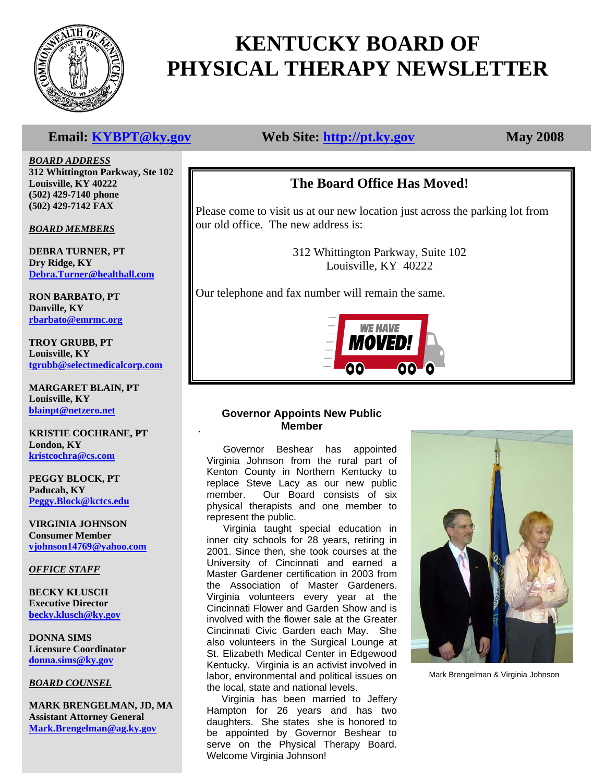

# **KENTUCKY BOARD OF PHYSICAL THERAPY NEWSLETTER**

# **Email:** KYBPT@ky.gov Web Site: http://pt.ky.gov May 2008

*BOARD ADDRESS* **312 Whittington Parkway, Ste 102 Louisville, KY 40222 (502) 429-7140 phone (502) 429-7142 FAX** 

*BOARD MEMBERS*

**DEBRA TURNER, PT Dry Ridge, KY Debra.Turner@healthall.com**

**RON BARBATO, PT Danville, KY rbarbato@emrmc.org**

**TROY GRUBB, PT Louisville, KY tgrubb@selectmedicalcorp.com**

**MARGARET BLAIN, PT Louisville, KY blainpt@netzero.net**

**KRISTIE COCHRANE, PT London, KY kristcochra@cs.com**

**PEGGY BLOCK, PT Paducah, KY Peggy.Block@kctcs.edu**

**VIRGINIA JOHNSON Consumer Member vjohnson14769@yahoo.com**

*OFFICE STAFF*

**BECKY KLUSCH Executive Director becky.klusch@ky.gov**

**DONNA SIMS Licensure Coordinator donna.sims@ky.gov**

### *BOARD COUNSEL*

**MARK BRENGELMAN, JD, MA Assistant Attorney General Mark.Brengelman@ag.ky.gov**

# **The Board Office Has Moved!**

Please come to visit us at our new location just across the parking lot from our old office. The new address is:

> 312 Whittington Parkway, Suite 102 Louisville, KY 40222

Our telephone and fax number will remain the same.



### **Governor Appoints New Public Member**

.

 Governor Beshear has appointed Virginia Johnson from the rural part of Kenton County in Northern Kentucky to replace Steve Lacy as our new public member. Our Board consists of six physical therapists and one member to represent the public.

 Virginia taught special education in inner city schools for 28 years, retiring in 2001. Since then, she took courses at the University of Cincinnati and earned a Master Gardener certification in 2003 from the Association of Master Gardeners. Virginia volunteers every year at the Cincinnati Flower and Garden Show and is involved with the flower sale at the Greater Cincinnati Civic Garden each May. She also volunteers in the Surgical Lounge at St. Elizabeth Medical Center in Edgewood Kentucky. Virginia is an activist involved in labor, environmental and political issues on the local, state and national levels.

 Virginia has been married to Jeffery Hampton for 26 years and has two daughters. She states she is honored to be appointed by Governor Beshear to serve on the Physical Therapy Board. Welcome Virginia Johnson!



Mark Brengelman & Virginia Johnson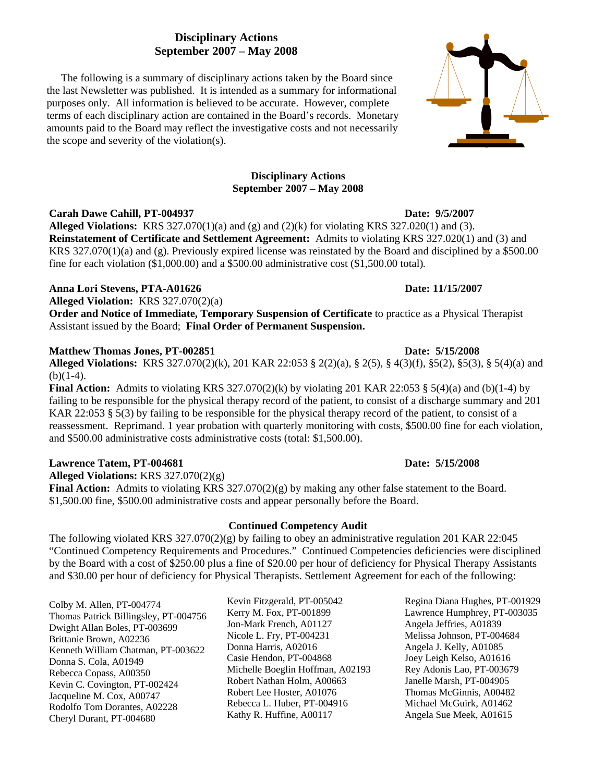### **Disciplinary Actions September 2007 – May 2008**

 The following is a summary of disciplinary actions taken by the Board since the last Newsletter was published. It is intended as a summary for informational purposes only. All information is believed to be accurate. However, complete terms of each disciplinary action are contained in the Board's records. Monetary amounts paid to the Board may reflect the investigative costs and not necessarily the scope and severity of the violation(s).

### **Disciplinary Actions September 2007 – May 2008**

### **Carah Dawe Cahill, PT-004937 Date: 9/5/2007**

**Alleged Violations:** KRS 327.070(1)(a) and (g) and (2)(k) for violating KRS 327.020(1) and (3). **Reinstatement of Certificate and Settlement Agreement:** Admits to violating KRS 327.020(1) and (3) and KRS 327.070(1)(a) and (g). Previously expired license was reinstated by the Board and disciplined by a \$500.00 fine for each violation (\$1,000.00) and a \$500.00 administrative cost (\$1,500.00 total)*.* 

### **Anna Lori Stevens, PTA-A01626 Date: 11/15/2007**

**Alleged Violation:** KRS 327.070(2)(a)

**Order and Notice of Immediate, Temporary Suspension of Certificate** to practice as a Physical Therapist Assistant issued by the Board; **Final Order of Permanent Suspension.** 

### **Matthew Thomas Jones, PT-002851 Date: 5/15/2008**

**Alleged Violations:** KRS 327.070(2)(k), 201 KAR 22:053 § 2(2)(a), § 2(5), § 4(3)(f), §5(2), §5(3), § 5(4)(a) and  $(b)(1-4)$ .

**Final Action:** Admits to violating KRS 327.070(2)(k) by violating 201 KAR 22:053 § 5(4)(a) and (b)(1-4) by failing to be responsible for the physical therapy record of the patient, to consist of a discharge summary and 201 KAR 22:053 § 5(3) by failing to be responsible for the physical therapy record of the patient, to consist of a reassessment.Reprimand. 1 year probation with quarterly monitoring with costs, \$500.00 fine for each violation, and \$500.00 administrative costs administrative costs (total: \$1,500.00).

### **Lawrence Tatem, PT-004681 Date: 5/15/2008**

**Alleged Violations:** KRS 327.070(2)(g)

**Final Action:** Admits to violating KRS 327.070(2)(g) by making any other false statement to the Board. \$1,500.00 fine, \$500.00 administrative costs and appear personally before the Board.

### **Continued Competency Audit**

The following violated KRS  $327.070(2)(g)$  by failing to obey an administrative regulation 201 KAR 22:045 "Continued Competency Requirements and Procedures." Continued Competencies deficiencies were disciplined by the Board with a cost of \$250.00 plus a fine of \$20.00 per hour of deficiency for Physical Therapy Assistants and \$30.00 per hour of deficiency for Physical Therapists. Settlement Agreement for each of the following:

Colby M. Allen, PT-004774 Thomas Patrick Billingsley, PT-004756 Dwight Allan Boles, PT-003699 Brittanie Brown, A02236 Kenneth William Chatman, PT-003622 Donna S. Cola, A01949 Rebecca Copass, A00350 Kevin C. Covington, PT-002424 Jacqueline M. Cox, A00747 Rodolfo Tom Dorantes, A02228 Cheryl Durant, PT-004680

Kevin Fitzgerald, PT-005042 Kerry M. Fox, PT-001899 Jon-Mark French, A01127 Nicole L. Fry, PT-004231 Donna Harris, A02016 Casie Hendon, PT-004868 Michelle Boeglin Hoffman, A02193 Robert Nathan Holm, A00663 Robert Lee Hoster, A01076 Rebecca L. Huber, PT-004916 Kathy R. Huffine, A00117

Regina Diana Hughes, PT-001929 Lawrence Humphrey, PT-003035 Angela Jeffries, A01839 Melissa Johnson, PT-004684 Angela J. Kelly, A01085 Joey Leigh Kelso, A01616 Rey Adonis Lao, PT-003679 Janelle Marsh, PT-004905 Thomas McGinnis, A00482 Michael McGuirk, A01462 Angela Sue Meek, A01615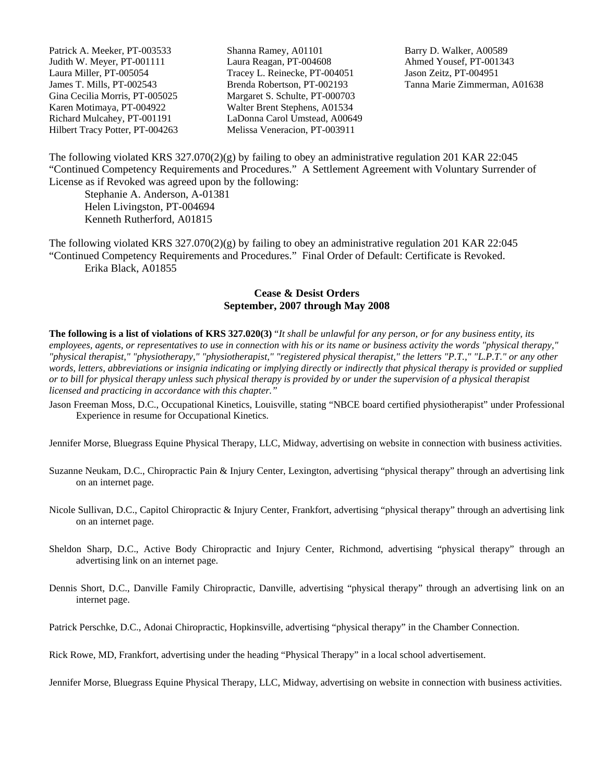Patrick A. Meeker, PT-003533 Judith W. Meyer, PT-001111 Laura Miller, PT-005054 James T. Mills, PT-002543 Gina Cecilia Morris, PT-005025 Karen Motimaya, PT-004922 Richard Mulcahey, PT-001191 Hilbert Tracy Potter, PT-004263 Shanna Ramey, A01101 Laura Reagan, PT-004608 Tracey L. Reinecke, PT-004051 Brenda Robertson, PT-002193 Margaret S. Schulte, PT-000703 Walter Brent Stephens, A01534 LaDonna Carol Umstead, A00649 Melissa Veneracion, PT-003911

Barry D. Walker, A00589 Ahmed Yousef, PT-001343 Jason Zeitz, PT-004951 Tanna Marie Zimmerman, A01638

The following violated KRS  $327.070(2)(g)$  by failing to obey an administrative regulation 201 KAR 22:045 "Continued Competency Requirements and Procedures." A Settlement Agreement with Voluntary Surrender of License as if Revoked was agreed upon by the following:

Stephanie A. Anderson, A-01381 Helen Livingston, PT-004694 Kenneth Rutherford, A01815

The following violated KRS  $327.070(2)(g)$  by failing to obey an administrative regulation 201 KAR 22:045 "Continued Competency Requirements and Procedures." Final Order of Default: Certificate is Revoked. Erika Black, A01855

### **Cease & Desist Orders September, 2007 through May 2008**

**The following is a list of violations of KRS 327.020(3)** "*It shall be unlawful for any person, or for any business entity, its employees, agents, or representatives to use in connection with his or its name or business activity the words "physical therapy," "physical therapist," "physiotherapy," "physiotherapist," "registered physical therapist," the letters "P.T.," "L.P.T." or any other words, letters, abbreviations or insignia indicating or implying directly or indirectly that physical therapy is provided or supplied or to bill for physical therapy unless such physical therapy is provided by or under the supervision of a physical therapist licensed and practicing in accordance with this chapter."* 

Jason Freeman Moss, D.C., Occupational Kinetics, Louisville, stating "NBCE board certified physiotherapist" under Professional Experience in resume for Occupational Kinetics.

Jennifer Morse, Bluegrass Equine Physical Therapy, LLC, Midway, advertising on website in connection with business activities.

- Suzanne Neukam, D.C., Chiropractic Pain & Injury Center, Lexington, advertising "physical therapy" through an advertising link on an internet page.
- Nicole Sullivan, D.C., Capitol Chiropractic & Injury Center, Frankfort, advertising "physical therapy" through an advertising link on an internet page.
- Sheldon Sharp, D.C., Active Body Chiropractic and Injury Center, Richmond, advertising "physical therapy" through an advertising link on an internet page.
- Dennis Short, D.C., Danville Family Chiropractic, Danville, advertising "physical therapy" through an advertising link on an internet page.

Patrick Perschke, D.C., Adonai Chiropractic, Hopkinsville, advertising "physical therapy" in the Chamber Connection.

Rick Rowe, MD, Frankfort, advertising under the heading "Physical Therapy" in a local school advertisement.

Jennifer Morse, Bluegrass Equine Physical Therapy, LLC, Midway, advertising on website in connection with business activities.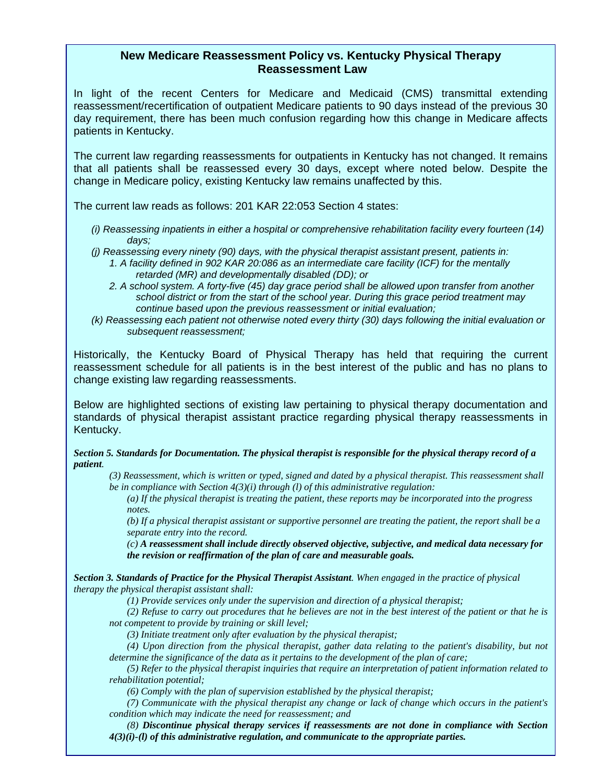### **New Medicare Reassessment Policy vs. Kentucky Physical Therapy Reassessment Law**

In light of the recent Centers for Medicare and Medicaid (CMS) transmittal extending reassessment/recertification of outpatient Medicare patients to 90 days instead of the previous 30 day requirement, there has been much confusion regarding how this change in Medicare affects patients in Kentucky.

The current law regarding reassessments for outpatients in Kentucky has not changed. It remains that all patients shall be reassessed every 30 days, except where noted below. Despite the change in Medicare policy, existing Kentucky law remains unaffected by this.

The current law reads as follows: 201 KAR 22:053 Section 4 states:

- *(i) Reassessing inpatients in either a hospital or comprehensive rehabilitation facility every fourteen (14) days;*
- *(j) Reassessing every ninety (90) days, with the physical therapist assistant present, patients in:* 
	- *1. A facility defined in 902 KAR 20:086 as an intermediate care facility (ICF) for the mentally retarded (MR) and developmentally disabled (DD); or*
	- *2. A school system. A forty-five (45) day grace period shall be allowed upon transfer from another school district or from the start of the school year. During this grace period treatment may continue based upon the previous reassessment or initial evaluation;*
- *(k) Reassessing each patient not otherwise noted every thirty (30) days following the initial evaluation or subsequent reassessment;*

Historically, the Kentucky Board of Physical Therapy has held that requiring the current reassessment schedule for all patients is in the best interest of the public and has no plans to change existing law regarding reassessments.

Below are highlighted sections of existing law pertaining to physical therapy documentation and standards of physical therapist assistant practice regarding physical therapy reassessments in Kentucky.

### *Section 5. Standards for Documentation. The physical therapist is responsible for the physical therapy record of a patient.*

*(3) Reassessment, which is written or typed, signed and dated by a physical therapist. This reassessment shall be in compliance with Section 4(3)(i) through (l) of this administrative regulation:* 

*(a) If the physical therapist is treating the patient, these reports may be incorporated into the progress notes.* 

*(b) If a physical therapist assistant or supportive personnel are treating the patient, the report shall be a separate entry into the record.* 

*(c) A reassessment shall include directly observed objective, subjective, and medical data necessary for the revision or reaffirmation of the plan of care and measurable goals.* 

*Section 3. Standards of Practice for the Physical Therapist Assistant. When engaged in the practice of physical therapy the physical therapist assistant shall:* 

 *(1) Provide services only under the supervision and direction of a physical therapist;* 

 *(2) Refuse to carry out procedures that he believes are not in the best interest of the patient or that he is not competent to provide by training or skill level;* 

 *(3) Initiate treatment only after evaluation by the physical therapist;* 

 *(4) Upon direction from the physical therapist, gather data relating to the patient's disability, but not determine the significance of the data as it pertains to the development of the plan of care;* 

 *(5) Refer to the physical therapist inquiries that require an interpretation of patient information related to rehabilitation potential;* 

 *(6) Comply with the plan of supervision established by the physical therapist;* 

 *(7) Communicate with the physical therapist any change or lack of change which occurs in the patient's condition which may indicate the need for reassessment; and* 

 *(8) Discontinue physical therapy services if reassessments are not done in compliance with Section 4(3)(i)-(l) of this administrative regulation, and communicate to the appropriate parties.*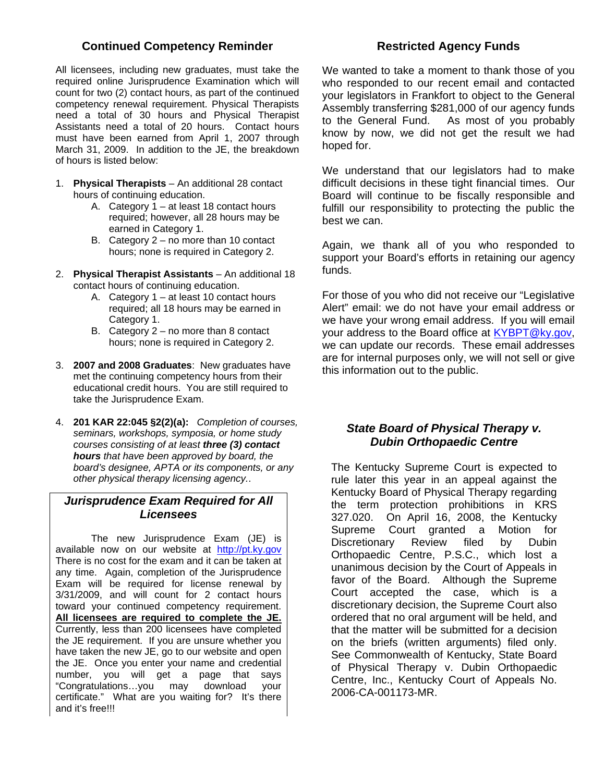### **Continued Competency Reminder**

All licensees, including new graduates, must take the required online Jurisprudence Examination which will count for two (2) contact hours, as part of the continued competency renewal requirement. Physical Therapists need a total of 30 hours and Physical Therapist Assistants need a total of 20 hours. Contact hours must have been earned from April 1, 2007 through March 31, 2009. In addition to the JE, the breakdown of hours is listed below:

- 1. **Physical Therapists** An additional 28 contact hours of continuing education.
	- A. Category 1 at least 18 contact hours required; however, all 28 hours may be earned in Category 1.
	- B. Category 2 no more than 10 contact hours; none is required in Category 2.
- 2. **Physical Therapist Assistants** An additional 18 contact hours of continuing education.
	- A. Category 1 at least 10 contact hours required; all 18 hours may be earned in Category 1.
	- B. Category 2 no more than 8 contact hours; none is required in Category 2.
- 3. **2007 and 2008 Graduates**: New graduates have met the continuing competency hours from their educational credit hours. You are still required to take the Jurisprudence Exam.
- 4. **201 KAR 22:045 §2(2)(a):** *Completion of courses, seminars, workshops, symposia, or home study courses consisting of at least three (3) contact hours that have been approved by board, the board's designee, APTA or its components, or any other physical therapy licensing agency.*.

### *Jurisprudence Exam Required for All Licensees*

The new Jurisprudence Exam (JE) is available now on our website at http://pt.ky.gov There is no cost for the exam and it can be taken at any time. Again, completion of the Jurisprudence Exam will be required for license renewal by 3/31/2009, and will count for 2 contact hours toward your continued competency requirement. **All licensees are required to complete the JE.**  Currently, less than 200 licensees have completed the JE requirement. If you are unsure whether you have taken the new JE, go to our website and open the JE. Once you enter your name and credential number, you will get a page that says "Congratulations…you may download your certificate." What are you waiting for? It's there and it's free!!!

### **Restricted Agency Funds**

We wanted to take a moment to thank those of you who responded to our recent email and contacted your legislators in Frankfort to object to the General Assembly transferring \$281,000 of our agency funds to the General Fund. As most of you probably know by now, we did not get the result we had hoped for.

We understand that our legislators had to make difficult decisions in these tight financial times. Our Board will continue to be fiscally responsible and fulfill our responsibility to protecting the public the best we can.

Again, we thank all of you who responded to support your Board's efforts in retaining our agency funds.

For those of you who did not receive our "Legislative Alert" email: we do not have your email address or we have your wrong email address. If you will email your address to the Board office at KYBPT@ky.gov, we can update our records. These email addresses are for internal purposes only, we will not sell or give this information out to the public.

### *State Board of Physical Therapy v. Dubin Orthopaedic Centre*

The Kentucky Supreme Court is expected to rule later this year in an appeal against the Kentucky Board of Physical Therapy regarding the term protection prohibitions in KRS 327.020. On April 16, 2008, the Kentucky Supreme Court granted a Motion for Discretionary Review filed by Dubin Orthopaedic Centre, P.S.C., which lost a unanimous decision by the Court of Appeals in favor of the Board. Although the Supreme Court accepted the case, which is a discretionary decision, the Supreme Court also ordered that no oral argument will be held, and that the matter will be submitted for a decision on the briefs (written arguments) filed only. See Commonwealth of Kentucky, State Board of Physical Therapy v. Dubin Orthopaedic Centre, Inc., Kentucky Court of Appeals No. 2006-CA-001173-MR.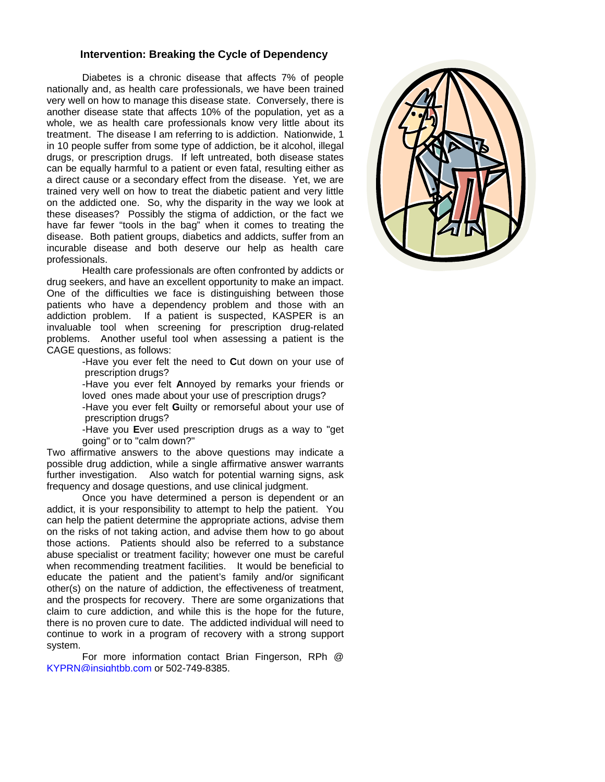### **Intervention: Breaking the Cycle of Dependency**

 treatment. The disease I am referring to is addiction. Nationwide, 1 drugs, or prescription drugs. If left untreated, both disease states Diabetes is a chronic disease that affects 7% of people nationally and, as health care professionals, we have been trained very well on how to manage this disease state. Conversely, there is another disease state that affects 10% of the population, yet as a whole, we as health care professionals know very little about its in 10 people suffer from some type of addiction, be it alcohol, illegal can be equally harmful to a patient or even fatal, resulting either as a direct cause or a secondary effect from the disease. Yet, we are trained very well on how to treat the diabetic patient and very little on the addicted one. So, why the disparity in the way we look at these diseases? Possibly the stigma of addiction, or the fact we have far fewer "tools in the bag" when it comes to treating the disease. Both patient groups, diabetics and addicts, suffer from an incurable disease and both deserve our help as health care professionals.

Health care professionals are often confronted by addicts or drug seekers, and have an excellent opportunity to make an impact. One of the difficulties we face is distinguishing between those patients who have a dependency problem and those with an addiction problem. If a patient is suspected, KASPER is an invaluable tool when screening for prescription drug-related problems. Another useful tool when assessing a patient is the CAGE questions, as follows:

> -Have you ever felt the need to **C**ut down on your use of prescription drugs?

> -Have you ever felt **A**nnoyed by remarks your friends or loved ones made about your use of prescription drugs?

> -Have you ever felt **G**uilty or remorseful about your use of prescription drugs?

> -Have you **E**ver used prescription drugs as a way to "get going" or to "calm down?"

Two affirmative answers to the above questions may indicate a possible drug addiction, while a single affirmative answer warrants further investigation. Also watch for potential warning signs, ask frequency and dosage questions, and use clinical judgment.

Once you have determined a person is dependent or an addict, it is your responsibility to attempt to help the patient. You can help the patient determine the appropriate actions, advise them on the risks of not taking action, and advise them how to go about those actions. Patients should also be referred to a substance abuse specialist or treatment facility; however one must be careful when recommending treatment facilities. It would be beneficial to educate the patient and the patient's family and/or significant other(s) on the nature of addiction, the effectiveness of treatment, and the prospects for recovery. There are some organizations that claim to cure addiction, and while this is the hope for the future, there is no proven cure to date. The addicted individual will need to continue to work in a program of recovery with a strong support system.

For more information contact Brian Fingerson, RPh @ KYPRN@insightbb.com or 502-749-8385.

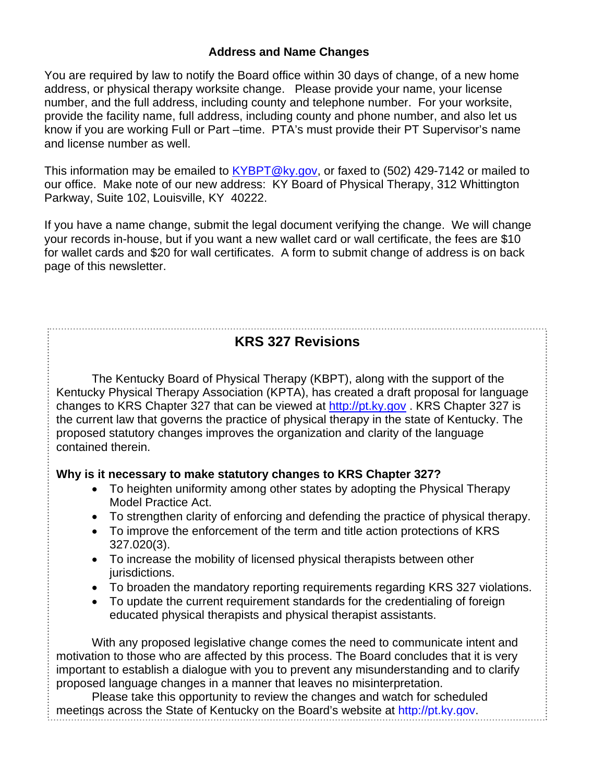### **Address and Name Changes**

You are required by law to notify the Board office within 30 days of change, of a new home address, or physical therapy worksite change. Please provide your name, your license number, and the full address, including county and telephone number. For your worksite, provide the facility name, full address, including county and phone number, and also let us know if you are working Full or Part –time. PTA's must provide their PT Supervisor's name and license number as well.

This information may be emailed to  $KYBPT@ky.gov$ , or faxed to (502) 429-7142 or mailed to our office. Make note of our new address: KY Board of Physical Therapy, 312 Whittington Parkway, Suite 102, Louisville, KY 40222.

If you have a name change, submit the legal document verifying the change. We will change your records in-house, but if you want a new wallet card or wall certificate, the fees are \$10 for wallet cards and \$20 for wall certificates. A form to submit change of address is on back page of this newsletter.

## **KRS 327 Revisions**

The Kentucky Board of Physical Therapy (KBPT), along with the support of the Kentucky Physical Therapy Association (KPTA), has created a draft proposal for language changes to KRS Chapter 327 that can be viewed at http://pt.ky.gov. KRS Chapter 327 is the current law that governs the practice of physical therapy in the state of Kentucky. The proposed statutory changes improves the organization and clarity of the language contained therein.

### **Why is it necessary to make statutory changes to KRS Chapter 327?**

- To heighten uniformity among other states by adopting the Physical Therapy Model Practice Act.
- To strengthen clarity of enforcing and defending the practice of physical therapy.
- To improve the enforcement of the term and title action protections of KRS 327.020(3).
- To increase the mobility of licensed physical therapists between other jurisdictions.
- To broaden the mandatory reporting requirements regarding KRS 327 violations.
- To update the current requirement standards for the credentialing of foreign educated physical therapists and physical therapist assistants.

 With any proposed legislative change comes the need to communicate intent and motivation to those who are affected by this process. The Board concludes that it is very important to establish a dialogue with you to prevent any misunderstanding and to clarify proposed language changes in a manner that leaves no misinterpretation.

 Please take this opportunity to review the changes and watch for scheduled meetings across the State of Kentucky on the Board's website at http://pt.ky.gov.